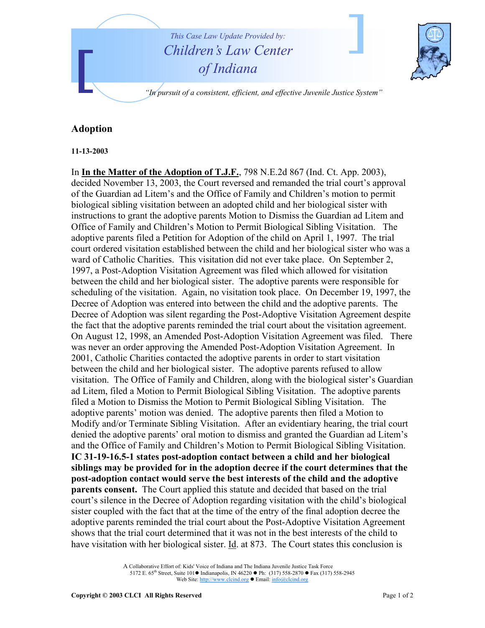

## **Adoption**

## **11-13-2003**

In **In the Matter of the Adoption of T.J.F.**, 798 N.E.2d 867 (Ind. Ct. App. 2003), decided November 13, 2003, the Court reversed and remanded the trial court's approval of the Guardian ad Litem's and the Office of Family and Children's motion to permit biological sibling visitation between an adopted child and her biological sister with instructions to grant the adoptive parents Motion to Dismiss the Guardian ad Litem and Office of Family and Children's Motion to Permit Biological Sibling Visitation. The adoptive parents filed a Petition for Adoption of the child on April 1, 1997. The trial court ordered visitation established between the child and her biological sister who was a ward of Catholic Charities. This visitation did not ever take place. On September 2, 1997, a Post-Adoption Visitation Agreement was filed which allowed for visitation between the child and her biological sister. The adoptive parents were responsible for scheduling of the visitation. Again, no visitation took place. On December 19, 1997, the Decree of Adoption was entered into between the child and the adoptive parents. The Decree of Adoption was silent regarding the Post-Adoptive Visitation Agreement despite the fact that the adoptive parents reminded the trial court about the visitation agreement. On August 12, 1998, an Amended Post-Adoption Visitation Agreement was filed. There was never an order approving the Amended Post-Adoption Visitation Agreement. In 2001, Catholic Charities contacted the adoptive parents in order to start visitation between the child and her biological sister. The adoptive parents refused to allow visitation. The Office of Family and Children, along with the biological sister's Guardian ad Litem, filed a Motion to Permit Biological Sibling Visitation. The adoptive parents filed a Motion to Dismiss the Motion to Permit Biological Sibling Visitation. The adoptive parents' motion was denied. The adoptive parents then filed a Motion to Modify and/or Terminate Sibling Visitation. After an evidentiary hearing, the trial court denied the adoptive parents' oral motion to dismiss and granted the Guardian ad Litem's and the Office of Family and Children's Motion to Permit Biological Sibling Visitation. **IC 31-19-16.5-1 states post-adoption contact between a child and her biological siblings may be provided for in the adoption decree if the court determines that the post-adoption contact would serve the best interests of the child and the adoptive parents consent.** The Court applied this statute and decided that based on the trial court's silence in the Decree of Adoption regarding visitation with the child's biological sister coupled with the fact that at the time of the entry of the final adoption decree the adoptive parents reminded the trial court about the Post-Adoptive Visitation Agreement shows that the trial court determined that it was not in the best interests of the child to have visitation with her biological sister. Id. at 873. The Court states this conclusion is

A Collaborative Effort of: Kids' Voice of Indiana and The Indiana Juvenile Justice Task Force 5172 E. 65<sup>th</sup> Street, Suite 101 ● Indianapolis, IN 46220 ● Ph: (317) 558-2870 ● Fax (317) 558-2945 Web Site: http://www.clcind.org • Email: info@clcind.org